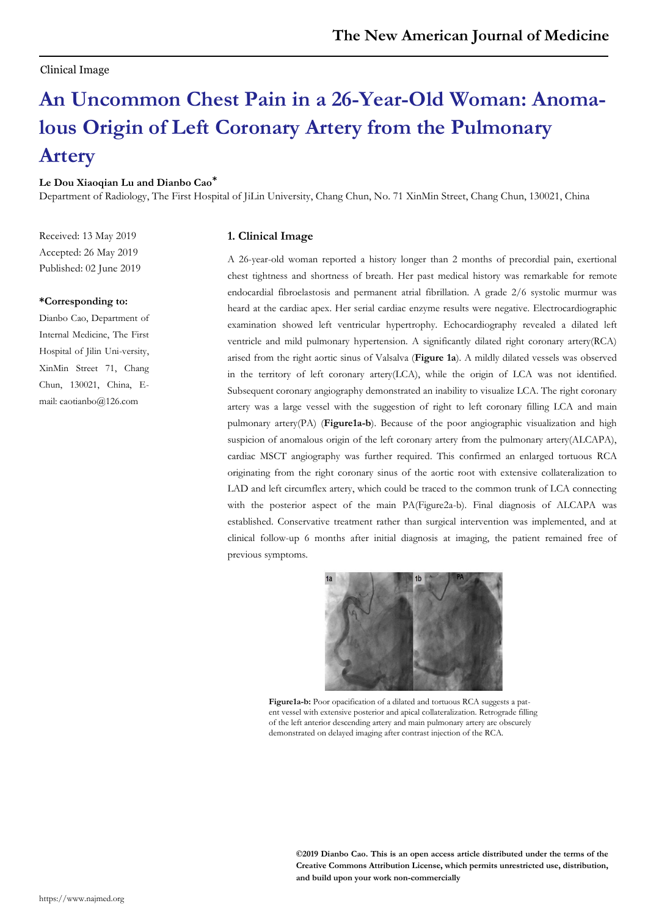## Clinical Image

# **An Uncommon Chest Pain in a 26-Year-Old Woman: Anomalous Origin of Left Coronary Artery from the Pulmonary Artery**

#### **Le Dou Xiaoqian Lu and Dianbo Cao\***

Department of Radiology, The First Hospital of JiLin University, Chang Chun, No. 71 XinMin Street, Chang Chun, 130021, China

Received: 13 May 2019 Accepted: 26 May 2019 Published: 02 June 2019

#### **\*Corresponding to:**

Dianbo Cao, Department of Internal Medicine, The First Hospital of Jilin Uni-versity, XinMin Street 71, Chang Chun, 130021, China, Email: caotianbo@126.com

## **1. Clinical Image**

A 26-year-old woman reported a history longer than 2 months of precordial pain, exertional chest tightness and shortness of breath. Her past medical history was remarkable for remote endocardial fibroelastosis and permanent atrial fibrillation. A grade 2/6 systolic murmur was heard at the cardiac apex. Her serial cardiac enzyme results were negative. Electrocardiographic examination showed left ventricular hypertrophy. Echocardiography revealed a dilated left ventricle and mild pulmonary hypertension. A significantly dilated right coronary artery(RCA) arised from the right aortic sinus of Valsalva (**Figure 1a**). A mildly dilated vessels was observed in the territory of left coronary artery(LCA), while the origin of LCA was not identified. Subsequent coronary angiography demonstrated an inability to visualize LCA. The right coronary artery was a large vessel with the suggestion of right to left coronary filling LCA and main pulmonary artery(PA) (**Figure1a-b**). Because of the poor angiographic visualization and high suspicion of anomalous origin of the left coronary artery from the pulmonary artery(ALCAPA), cardiac MSCT angiography was further required. This confirmed an enlarged tortuous RCA originating from the right coronary sinus of the aortic root with extensive collateralization to LAD and left circumflex artery, which could be traced to the common trunk of LCA connecting with the posterior aspect of the main PA(Figure2a-b). Final diagnosis of ALCAPA was established. Conservative treatment rather than surgical intervention was implemented, and at clinical follow-up 6 months after initial diagnosis at imaging, the patient remained free of previous symptoms.



**Figure1a-b:** Poor opacification of a dilated and tortuous RCA suggests a patent vessel with extensive posterior and apical collateralization. Retrograde filling of the left anterior descending artery and main pulmonary artery are obscurely demonstrated on delayed imaging after contrast injection of the RCA.

**©2019 Dianbo Cao. This is an open access article distributed under the terms of the Creative Commons Attribution License, which permits unrestricted use, distribution, and build upon your work non-commercially**